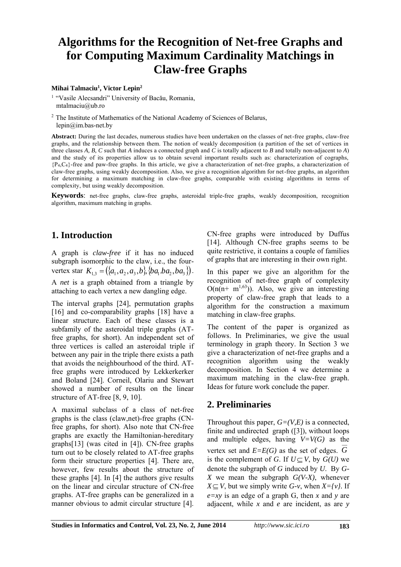# **Algorithms for the Recognition of Net-free Graphs and for Computing Maximum Cardinality Matchings in Claw-free Graphs**

#### **Mihai Talmaciu<sup>1</sup> , Victor Lepin<sup>2</sup>**

<sup>1</sup> "Vasile Alecsandri" University of Bacău, Romania, mtalmaciu@ub.ro

<sup>2</sup> The Institute of Mathematics of the National Academy of Sciences of Belarus, lepin@im.bas-net.by

**Abstract:** During the last decades, numerous studies have been undertaken on the classes of net-free graphs, claw-free graphs, and the relationship between them. The notion of weakly decomposition (a partition of the set of vertices in three classes *A, B, C* such that *A* induces a connected graph and *C* is totally adjacent to *B* and totally non-adjacent to *A*) and the study of its properties allow us to obtain several important results such as: characterization of cographs, {P4,C4}-free and paw-free graphs. In this article, we give a characterization of net-free graphs, a characterization of claw-free graphs, using weakly decomposition. Also, we give a recognition algorithm for net-free graphs, an algorithm for determining a maximum matching in claw-free graphs, comparable with existing algorithms in terms of complexity, but using weakly decomposition.

**Keywords**: net-free graphs, claw-free graphs, asteroidal triple-free graphs, weakly decomposition, recognition algorithm, maximum matching in graphs.

#### **1. Introduction**

A graph is *claw-free* if it has no induced subgraph isomorphic to the claw, i.e., the fourvertex star  $K_{1,3} = (\{a_1, a_2, a_3, b\}, \{ba_1, ba_2, ba_3\})$ . A *net* is a graph obtained from a triangle by attaching to each vertex a new dangling edge.

The interval graphs [24], permutation graphs [16] and co-comparability graphs [18] have a linear structure. Each of these classes is a subfamily of the asteroidal triple graphs (ATfree graphs, for short). An independent set of three vertices is called an asteroidal triple if between any pair in the triple there exists a path that avoids the neighbourhood of the third. ATfree graphs were introduced by Lekkerkerker and Boland [24]. Corneil, Olariu and Stewart showed a number of results on the linear structure of AT-free [8, 9, 10].

A maximal subclass of a class of net-free graphs is the class (claw,net)-free graphs (CNfree graphs, for short). Also note that CN-free graphs are exactly the Hamiltonian-hereditary graphs[13] (was cited in [4]). CN-free graphs turn out to be closely related to AT-free graphs form their structure properties [4]. There are, however, few results about the structure of these graphs [4]. In [4] the authors give results on the linear and circular structure of CN-free graphs. AT-free graphs can be generalized in a manner obvious to admit circular structure [4].

CN-free graphs were introduced by Duffus [14]. Although CN-free graphs seems to be quite restrictive, it contains a couple of families of graphs that are interesting in their own right.

In this paper we give an algorithm for the recognition of net-free graph of complexity  $O(n(n+m^{1,63}))$ . Also, we give an interesting property of claw-free graph that leads to a algorithm for the construction a maximum matching in claw-free graphs.

The content of the paper is organized as follows. In Preliminaries, we give the usual terminology in graph theory. In Section 3 we give a characterization of net-free graphs and a recognition algorithm using the weakly decomposition. In Section 4 we determine a maximum matching in the claw-free graph. Ideas for future work conclude the paper.

#### **2. Preliminaries**

Throughout this paper,  $G=(V,E)$  is a connected, finite and undirected graph ([3]), without loops and multiple edges, having  $V=V(G)$  as the vertex set and  $E = E(G)$  as the set of edges. G is the complement of *G*. If  $U \subseteq V$ , by  $G(U)$  we denote the subgraph of *G* induced by *U*. By *G-X* we mean the subgraph *G(V-X)*, whenever  $X \subseteq V$ , but we simply write *G-v*, when  $X = \{v\}$ . If *e=xy* is an edge of a graph G, then *x* and *y* are adjacent, while *x* and *e* are incident, as are *y*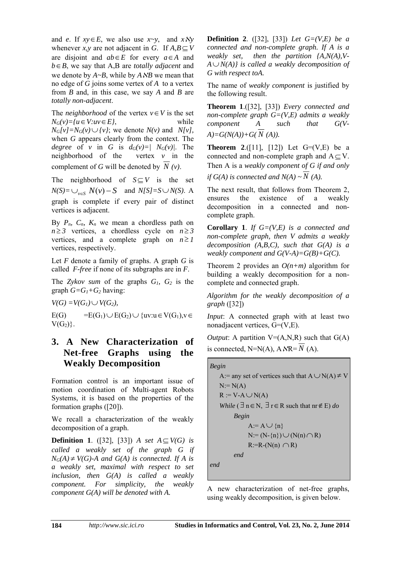and *e*. If  $xy \in E$ , we also use  $x \sim y$ , and  $x \wedge y$ whenever *x*, *y* are not adjacent in *G*. If  $A, B \subseteq V$ are disjoint and  $ab \in E$  for every  $a \in A$  and  $b \in B$ , we say that A,B are *totally adjacent* and we denote by  $A \sim B$ , while by  $A \land B$  we mean that no edge of *G* joins some vertex of *A* to a vertex from *B* and, in this case, we say *A* and *B* are *totally non-adjacent*.

The *neighborhood* of the vertex  $v \in V$  is the set  $N_G(v) = \{u \in V: uv \in V\}$ *E}*, while  $N_G[v] = N_G(v) \cup \{v\}$ ; we denote  $N(v)$  and  $N[v]$ , when *G* appears clearly from the context. The *degree* of *v* in *G* is  $d_G(v)=|N_G(v)|$ . The neighborhood of the vertex *v* in the complement of *G* will be denoted by *N (v)*.

The neighborhood of  $S \subseteq V$  is the set  $N(S) = \bigcup_{v \in S} N(v) - S$  and  $N[S] = S \cup N(S)$ . A graph is complete if every pair of distinct vertices is adjacent.

By  $P_n$ ,  $C_n$ ,  $K_n$  we mean a chordless path on  $n \geq 3$  vertices, a chordless cycle on  $n \geq 3$ vertices, and a complete graph on  $n \geq 1$ vertices, respectively.

Let *F* denote a family of graphs. A graph *G* is called *F-free* if none of its subgraphs are in *F*.

The *Zykov sum* of the graphs *G1, G2* is the graph  $G = G_1 + G_2$  having:

 $V(G) = V(G_I) \cup V(G_2),$ 

 $E(G) = E(G_1) \cup E(G_2) \cup \{uv: u \in V(G_1), v \in$  $V(G_2)$ .

#### **3. A New Characterization of Net-free Graphs using the Weakly Decomposition**

Formation control is an important issue of motion coordination of Multi-agent Robots Systems, it is based on the properties of the formation graphs ([20]).

We recall a characterization of the weakly decomposition of a graph.

**Definition 1.** ([32], [33]) *A set*  $A \subseteq V(G)$  *is called a weakly set of the graph G if*   $N_G(A) \neq V(G)$ -A and  $G(A)$  is connected. If A is *a weakly set, maximal with respect to set inclusion, then G(A) is called a weakly component. For simplicity, the weakly component G(A) will be denoted with A.* 

**Definition 2**. ([32], [33]) *Let G=(V,E) be a connected and non-complete graph. If A is a weakly set, then the partition {A,N(A),V-* $A \cup N(A)$  *is called a weakly decomposition of G with respect toA.* 

The name of *weakly component* is justified by the following result.

**Theorem 1**.([32], [33]) *Every connected and non-complete graph G=(V,E) admits a weakly component A such that G(V-* $A) = G(N(A)) + G(N(A)).$ 

**Theorem 2.**([11], [12]) Let  $G=(V,E)$  be a connected and non-complete graph and  $A \subseteq V$ . Then A is a *weakly component of G if and only if*  $G(A)$  *is connected and*  $N(A) \sim N(A)$ *.* 

The next result, that follows from Theorem 2, ensures the existence of a weakly decomposition in a connected and noncomplete graph.

**Corollary 1**. *If G=(V,E) is a connected and non-complete graph, then V admits a weakly decomposition (A,B,C), such that G(A) is a weakly component and G(V-A)=G(B)+G(C).*

Theorem 2 provides an *O(n+m)* algorithm for building a weakly decomposition for a noncomplete and connected graph.

*Algorithm for the weakly decomposition of a graph* ([32])

*Input*: A connected graph with at least two nonadjacent vertices, G=(V,E).

*Output*: A partition  $V=(A,N,R)$  such that  $G(A)$ is connected,  $N=N(A)$ ,  $A \, \text{NR} = N(A)$ .

```
Begin
    A: = any set of vertices such that A \cup N(A) \neq VN:= N(A)R := V - A \cup N(A)While (\exists n \in N, \exists r \in R such that nr \notin E) do
          Begin
                A:= A \cup \{n\}N:=(N-\{n\})\cup(N(n)\cap R)R:=R-(N(n) \cap R)end
end
```
A new characterization of net-free graphs, using weakly decomposition, is given below.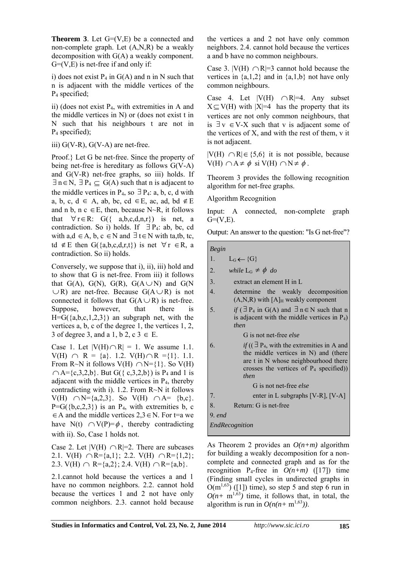**Theorem 3**. Let G=(V,E) be a connected and non-complete graph. Let (A,N,R) be a weakly decomposition with G(A) a weakly component.  $G=(V,E)$  is net-free if and only if:

i) does not exist  $P_4$  in  $G(A)$  and n in N such that n is adjacent with the middle vertices of the P4 specified;

ii) (does not exist P4, with extremities in A and the middle vertices in N) or (does not exist t in N such that his neighbours t are not in P4 specified);

iii)  $G(V-R)$ ,  $G(V-A)$  are net-free.

Proof.} Let G be net-free. Since the property of being net-free is hereditary as follows G(V-A) and  $G(V-R)$  net-free graphs, so iii) holds. If  $\exists n \in N$ ,  $\exists P_4 \subseteq G(A)$  such that n is adjacent to the middle vertices in P<sub>4</sub>, so  $\exists$  P<sub>4</sub>: a, b, c, d with a, b, c, d  $\in$  A, ab, bc, cd  $\in$  E, ac, ad, bd  $\notin$  E and n b, n c  $\in$  E, then, because N $\sim$ R, it follows that  $\forall$  r  $\in$  R: G({ a,b,c,d,n,r}) is net, a contradiction. So i) holds. If  $\exists P_4$ : ab, bc, cd with  $a, d \in A$ ,  $b, c \in N$  and  $\exists t \in N$  with ta,tb, tc, td  $\notin$  E then G({a,b,c,d,r,t}) is net  $\forall$  r  $\in$  R, a contradiction. So ii) holds.

Conversely, we suppose that i), ii), iii) hold and to show that G is net-free. From iii) it follows that  $G(A)$ ,  $G(N)$ ,  $G(R)$ ,  $G(A \cup N)$  and  $G(N)$  $\cup$ R) are net-free. Because  $G(A \cup R)$  is not connected it follows that  $G(A \cup R)$  is net-free. Suppose, however, that there is  $H=G({a,b,c,1,2,3})$  an subgraph net, with the vertices a, b, c of the degree 1, the vertices 1, 2, 3 of degree 3, and a 1, b 2, c  $3 \in E$ .

Case 1. Let  $|V(H) \cap R| = 1$ . We assume 1.1.  $V(H) \cap R = \{a\}.$  1.2.  $V(H) \cap R = \{1\}.$  1.1. From R~N it follows  $V(H) \cap N = \{1\}$ . So  $V(H)$  $\bigcap A = \{c,3,2,b\}$ . But  $G({c,3,2,b})$  is P<sub>4</sub> and 1 is adjacent with the middle vertices in  $P_4$ , thereby contradicting with i). 1.2. From R~N it follows  $V(H) \cap N = \{a,2,3\}.$  So  $V(H) \cap A = \{b,c\}.$  $P=G({b,c,2,3})$  is an P<sub>4</sub>, with extremities b, c  $\in$  A and the middle vertices 2,3  $\in$  N. For t=a we have N(t)  $\cap V(P) = \phi$ , thereby contradicting with ii). So, Case 1 holds not.

Case 2. Let  $|V(H) \cap R|=2$ . There are subcases 2.1. V(H)  $\cap$  R={a,1}; 2.2. V(H)  $\cap$  R={1,2}; 2.3. V(H)  $\cap$  R={a,2}; 2.4. V(H)  $\cap$  R={a,b}.

2.1.cannot hold because the vertices a and 1 have no common neighbors. 2.2. cannot hold because the vertices 1 and 2 not have only common neighbors. 2.3. cannot hold because

the vertices a and 2 not have only common neighbors. 2.4. cannot hold because the vertices a and b have no common neighbours.

Case 3.  $|V(H) \cap R|=3$  cannot hold because the vertices in  $\{a,1,2\}$  and in  $\{a,1,b\}$  not have only common neighbours.

Case 4. Let  $|V(H) \cap R|=4$ . Any subset  $X \subseteq V(H)$  with  $|X|=4$  has the property that its vertices are not only common neighbours, that is  $\exists v \in V-X$  such that v is adjacent some of the vertices of X, and with the rest of them, v it is not adjacent.

 $|V(H) \cap R| \in \{5,6\}$  it is not possible, because  $V(H) \cap A \neq \phi$  si  $V(H) \cap N \neq \phi$ .

Theorem 3 provides the following recognition algorithm for net-free graphs.

Algorithm Recognition

Input: A connected, non-complete graph  $G=(V,E)$ .

Output: An answer to the question: "Is G net-free"?

*Begin*

- 1.  $L_G \leftarrow \{G\}$
- 2. *while*  $L_G \neq \phi$  *do*
- 3. extract an element H in L
- 4. determine the weakly decomposition  $(A,N,R)$  with  $[A]_H$  weakly component
- 5. *if*  $(\exists P_4 \text{ in } G(A) \text{ and } \exists n \in N \text{ such that } n$ is adjacent with the middle vertices in  $P_4$ ) *then*

G is not net-free *else*

6. *if*  $((\exists P_4, \text{with the extremities in A and}$ the middle vertices in N) and (there are t in N whose neighbourhood there crosses the vertices of  $P_4$  specified)) *then* G is not net-free *else*

7. enter in L subgraphs [V-R], [V-A] 8. Return: G is net-free

9*. end*

*EndRecognition*

As Theorem 2 provides an *O(n+m)* algorithm for building a weakly decomposition for a noncomplete and connected graph and as for the recognition  $P_4$ -free in  $O(n+m)$  ([17]) time (Finding small cycles in undirected graphs in  $O(m^{1,63})$  ([1]) time), so step 5 and step 6 run in  $O(n+m^{1,63})$  time, it follows that, in total, the algorithm is run in  $O(n(n+m^{1,63}))$ .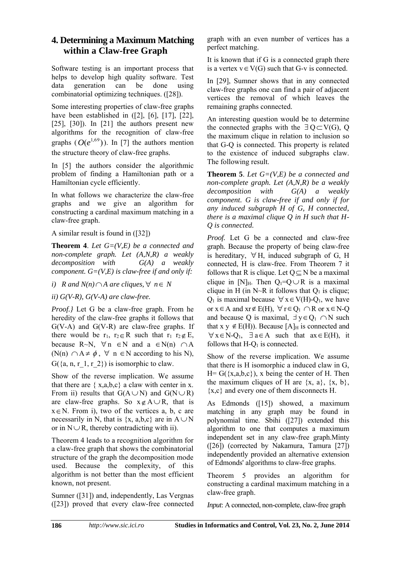### **4. Determining a Maximum Matching within a Claw-free Graph**

Software testing is an important process that helps to develop high quality software. Test data generation can be done using combinatorial optimizing techniques. ([28]).

Some interesting properties of claw-free graphs have been established in  $(2]$ ,  $[6]$ ,  $[17]$ ,  $[22]$ , [25],  $[30]$ . In  $[21]$  the authors present new algorithms for the recognition of claw-free graphs  $(O(e^{1,69}))$ . In [7] the authors mention the structure theory of claw-free graphs.

In [5] the authors consider the algorithmic problem of finding a Hamiltonian path or a Hamiltonian cycle efficiently.

In what follows we characterize the claw-free graphs and we give an algorithm for constructing a cardinal maximum matching in a claw-free graph.

A similar result is found in ([32])

**Theorem 4**. *Let G=(V,E) be a connected and non-complete graph. Let (A,N,R) a weakly decomposition with G(A) a weakly component. G=(V,E) is claw-free if and only if:*

*i*) *R* and  $N(n) \cap A$  are cliques,  $\forall n \in N$ 

*ii) G(V-R), G(V-A) are claw-free.* 

*Proof.}* Let G be a claw-free graph. From he heredity of the claw-free graphs it follows that  $G(V-A)$  and  $G(V-R)$  are claw-free graphs. If there would be  $r_1$ ,  $r_2 \in \mathbb{R}$  such that  $r_1$   $r_2 \notin E$ , because R~N,  $\forall n \in \mathbb{N}$  and  $a \in N(n) \cap A$ (N(n)  $\cap$  A  $\neq$   $\phi$ ,  $\forall$  n  $\in$  N according to his N),  $G({a, n, r, 1, r, 2})$  is isomorphic to claw.

Show of the reverse implication. We assume that there are  $\{x,a,b,c\}$  a claw with center in x. From ii) results that  $G(A \cup N)$  and  $G(N \cup R)$ are claw-free graphs. So  $x \notin A \cup R$ , that is  $x \in N$ . From i), two of the vertices a, b, c are necessarily in N, that is  $\{x, a,b,c\}$  are in  $A \cup N$ or in  $N \cup R$ , thereby contradicting with ii).

Theorem 4 leads to a recognition algorithm for a claw-free graph that shows the combinatorial structure of the graph the decomposition mode used. Because the complexity, of this algorithm is not better than the most efficient known, not present.

Sumner ([31]) and, independently, Las Vergnas ([23]) proved that every claw-free connected

graph with an even number of vertices has a perfect matching.

It is known that if G is a connected graph there is a vertex  $v \in V(G)$  such that G-v is connected.

In [29], Sumner shows that in any connected claw-free graphs one can find a pair of adjacent vertices the removal of which leaves the remaining graphs connected.

An interesting question would be to determine the connected graphs with the  $\exists Q \subset V(G)$ , Q the maximum clique in relation to inclusion so that G-Q is connected. This property is related to the existence of induced subgraphs claw. The following result.

**Theorem 5**. *Let G=(V,E) be a connected and non-complete graph. Let (A,N,R) be a weakly decomposition with G(A) a weakly component. G is claw-free if and only if for any induced subgraph H of G, H connected, there is a maximal clique Q in H such that H-Q is connected.* 

*Proof.* Let G be a connected and claw-free graph. Because the property of being claw-free is hereditary,  $\forall$  H, induced subgraph of G, H connected, H is claw-free. From Theorem 7 it follows that R is clique. Let  $Q \subseteq N$  be a maximal clique in [N]<sub>H</sub>. Then  $Q_1 = Q \cup R$  is a maximal clique in H (in N~R it follows that  $Q_1$  is clique;  $Q_1$  is maximal because  $\forall x \in V(H)-Q_1$ , we have or  $x \in A$  and  $xr \notin E(H)$ ,  $\forall r \in Q_1 \cap R$  or  $x \in N-Q$ and because Q is maximal,  $\exists y \in Q_1 \cap N$  such that  $x \ y \notin E(H)$ ). Because  $[A]_H$  is connected and  $\forall x \in N$ -Q<sub>1</sub>,  $\exists a \in A$  such that  $ax \in E(H)$ , it follows that  $H-O<sub>1</sub>$  is connected.

Show of the reverse implication. We assume that there is H isomorphic a induced claw in G,  $H = G({x,a,b,c})$ , x being the center of H. Then the maximum cliques of H are  $\{x, a\}$ ,  $\{x, b\}$ ,  $\{x,c\}$  and every one of them disconnects H.

As Edmonds ([15]) showed, a maximum matching in any graph may be found in polynomial time. Sbihi ([27]) extended this algorithm to one that computes a maximum independent set in any claw-free graph.Minty ([26]) (corrected by Nakamura, Tamura [27]) independently provided an alternative extension of Edmonds' algorithms to claw-free graphs.

Theorem 5 provides an algorithm for constructing a cardinal maximum matching in a claw-free graph.

*Input*: A connected, non-complete, claw-free graph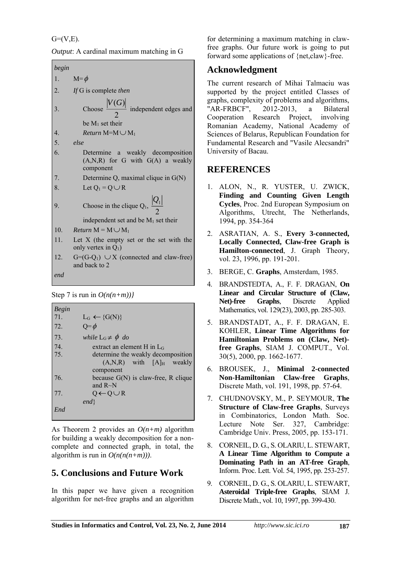$G=(V,E)$ .

*Output*: A cardinal maximum matching in G

| begin            |                                                                                       |
|------------------|---------------------------------------------------------------------------------------|
|                  | 1. $M = \phi$                                                                         |
| 2 <sub>1</sub>   | If G is complete then                                                                 |
| 3.               | Choose $\frac{ V(G) }{2}$ independent edges and<br>be $M_1$ set their                 |
| $\overline{4}$ . | <i>Return</i> M=M $\cup$ M <sub>1</sub>                                               |
| 5.               | else                                                                                  |
| 6.               | Determine a weakly decomposition<br>$(A,N,R)$ for G with $G(A)$ a weakly<br>component |
| 7.               | Determine Q, maximal clique in $G(N)$                                                 |
| 8.               | Let $Q_1 = Q \cup R$                                                                  |
| 9.               | Choose in the clique $Q_1$ , $\frac{ Q_1 }{2}$                                        |
|                  | independent set and be $M_1$ set their                                                |
| 10.              | <i>Return</i> $M = M \cup M_1$                                                        |
| 11.              | Let $X$ (the empty set or the set with the<br>only vertex in $Q_1$ )                  |
| 12.              | $G=(G-Q_1)$ $\cup$ X (connected and claw-free)<br>and back to 2                       |
| end              |                                                                                       |

Step 7 is run in  $O(n(n+m))$ *l* 

| Begin |                                       |
|-------|---------------------------------------|
| 71.   | $L_G \leftarrow \{G(N)\}\$            |
| 72.   | $Q = \phi$                            |
| 73.   | while $L_G \neq \phi$ do              |
| 74.   | extract an element H in $L_G$         |
| 75.   | determine the weakly decomposition    |
|       | $(A,N,R)$ with $[A]_H$ weakly         |
|       | component                             |
| 76.   | because $G(N)$ is claw-free, R clique |
|       | and $R \sim N$                        |
| 77.   | $Q \leftarrow Q \cup R$               |
|       | end                                   |
| End   |                                       |

As Theorem 2 provides an *O(n+m)* algorithm for building a weakly decomposition for a noncomplete and connected graph, in total, the algorithm is run in  $O(n(n(n+m)))$ .

# **5. Conclusions and Future Work**

In this paper we have given a recognition algorithm for net-free graphs and an algorithm for determining a maximum matching in clawfree graphs. Our future work is going to put forward some applications of {net,claw}-free.

## **Acknowledgment**

The current research of Mihai Talmaciu was supported by the project entitled Classes of graphs, complexity of problems and algorithms, "AR-FRBCF", 2012-2013, a Bilateral Cooperation Research Project, involving Romanian Academy, National Academy of Sciences of Belarus, Republican Foundation for Fundamental Research and "Vasile Alecsandri" University of Bacau.

### **REFERENCES**

- 1. ALON, N., R. YUSTER, U. ZWICK, **Finding and Counting Given Length Cycles**, Proc. 2nd European Symposium on Algorithms, Utrecht, The Netherlands, 1994, pp. 354-364
- 2. ASRATIAN, A. S., **Every 3-connected, Locally Connected, Claw-free Graph is Hamilton-connected**, J. Graph Theory, vol. 23, 1996, pp. 191-201.
- 3. BERGE, C. **Graphs**, Amsterdam, 1985.
- 4. BRANDSTEDTA, A., F. F. DRAGAN, **On Linear and Circular Structure of (Claw, Net)-free Graphs**, Discrete Applied Mathematics, vol. 129(23), 2003, pp. 285-303.
- 5. BRANDSTADT, A., F. F. DRAGAN, E. KOHLER, **Linear Time Algorithms for Hamiltonian Problems on (Claw, Net) free Graphs**, SIAM J. COMPUT., Vol. 30(5), 2000, pp. 1662-1677.
- 6. BROUSEK, J., **Minimal 2-connected Non-Hamiltonian Claw-free Graphs**, Discrete Math, vol. 191, 1998, pp. 57-64.
- 7. CHUDNOVSKY, M., P. SEYMOUR, **The Structure of Claw-free Graphs**, Surveys in Combinatorics, London Math. Soc. Lecture Note Ser. 327, Cambridge: Cambridge Univ. Press, 2005, pp. 153-171.
- 8. CORNEIL, D. G., S. OLARIU, L. STEWART, **A Linear Time Algorithm to Compute a Dominating Path in an AT-free Graph**, Inform. Proc. Lett. Vol. 54, 1995, pp. 253-257.
- 9. CORNEIL, D. G., S. OLARIU, L. STEWART, **Asteroidal Triple-free Graphs**, SIAM J. Discrete Math., vol. 10, 1997, pp. 399-430.